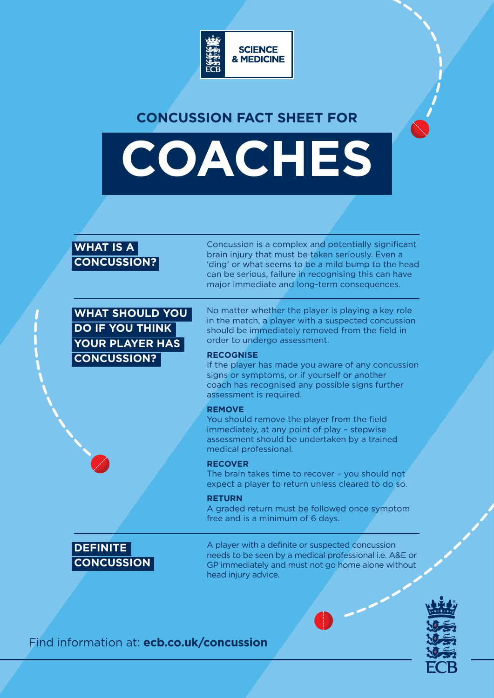

# **CONCUSSION FACT SHEET FOR**

# **COACHES**

## **WHAT IS A CONCUSSION?**

## **WHAT SHOULD YOU DO IF YOU THINK YOUR PLAYER HAS CONCUSSION?**

Concussion is a complex and potentially significant brain injury that must be taken seriously. Even a 'ding' or what seems to be a mild bump to the head can be serious, failure in recognising this can have major immediate and long-term consequences.

No matter whether the player is playing a key role in the match, a player with a suspected concussion should be immediately removed from the field in order to undergo assessment.

#### **RECOGNISE**

If the player has made you aware of any concussion signs or symptoms, or if yourself or another coach has recognised any possible signs further assessment is required.

#### **REMOVE**

You should remove the player from the field immediately, at any point of play – stepwise assessment should be undertaken by a trained medical professional.

#### **RECOVER**

The brain takes time to recover – you should not expect a player to return unless cleared to do so.

#### **RETURN**

A graded return must be followed once symptom free and is a minimum of 6 days.

#### A player with a definite or suspected concussion needs to be seen by a medical professional i.e. A&E or GP immediately and must not go home alone without head injury advice.

# **DEFINITE CONCUSSION**



## Find information at: **ecb.co.uk/concussion**